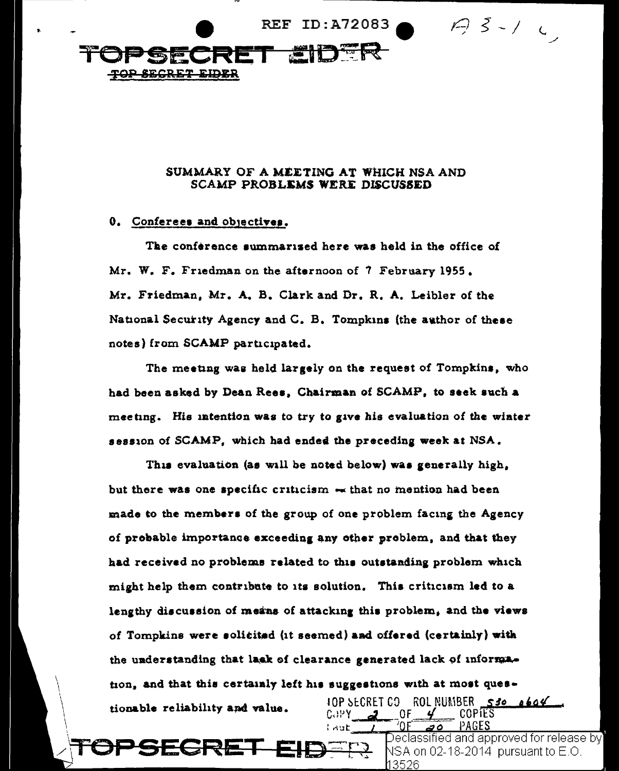

## SUMMARY OF A MEETING AT WHICH NSA AND SCAMP PROBLEMS WERE DISCUSSED

### 0. Conferees and objectives.

<del>:GRE</del>

The conference summarized here was held in the office of Mr. W. F. Friedman on the afternoon of 7 February 1955. Mr. Friedman, Mr. A. B. Clark and Dr. R. A. Leibler of the National Security Agency and C. B. Tompkins (the author of these notes) from SCAMP participated.

The meeting was held largely on the request of Tompkins, who had been asked by Dean Rees, Chairman of SCAMP, to seek such a meeting. His intention was to try to give his evaluation of the winter session of SCAMP, which had ended the preceding week at NSA.

This evaluation (as will be noted below) was generally high, but there was one specific criticism  $-$  that no mention had been made to the members of the group of one problem facing the Agency of probable importance exceeding any other problem, and that they had received no problems related to this outstanding problem which might help them contribute to its solution. This criticism led to a lengthy discussion of means of attacking this problem, and the views of Tompkins were solicited (it seemed) and offered (certainly) with the understanding that lack of clearance generated lack of information, and that this certainly left his suggestions with at most ques-**IOP SECRET CO. ROL NUMBER 530 0604** tionable reliability and value.  $COPY = 2$  $\_$  COPIES  $0$ F $\_$ 

ہ ج

3526

Declassified and approved for release by $\rangle$ 

VSA on 02-18-2014 pursuant to E.O.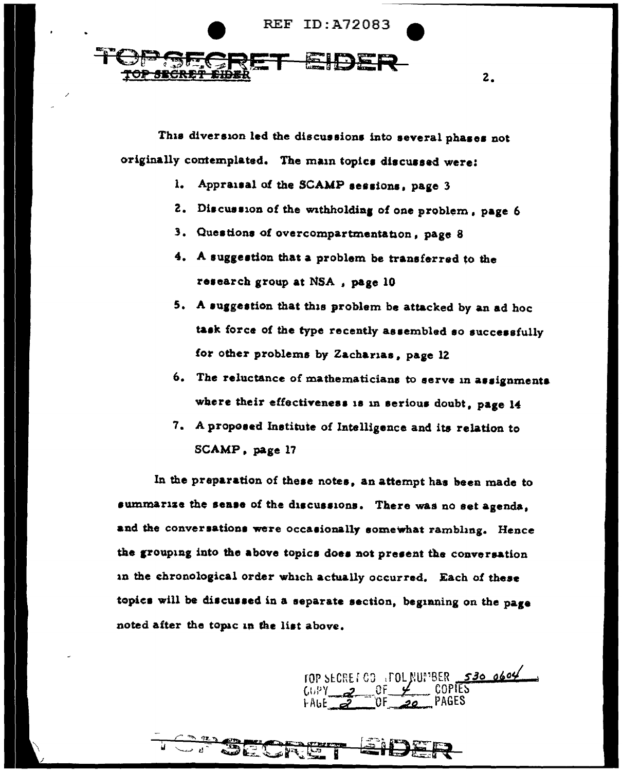

This diversion led the discussions into several phases not originally contemplated. The main topics discussed were:

- 1. Appraisal of the SCAMP sessions, page 3
- 2. Discussion of the withholding of one problem, page 6

2.

- 3. Questions of overcompartmentation, page 8
- 4. A suggestion that a problem be transferred to the research group at NSA, page 10
- 5. A suggestion that this problem be attacked by an ad hoc task force of the type recently assembled so successfully for other problems by Zacharias, page 12
- 6. The reluctance of mathematicians to serve in assignments where their effectiveness is in serious doubt, page 14
- 7. A proposed Institute of Intelligence and its relation to SCAMP, page 17

In the preparation of these notes, an attempt has been made to summarize the sease of the discussions. There was no set agenda, and the conversations were occasionally somewhat rambling. Hence the grouping into the above topics does not present the conversation in the chronological order which actually occurred. Each of these topics will be discussed in a separate section, beginning on the page noted after the topic in the list above.

TOP SECRET CO TOL MUNBER 530 0604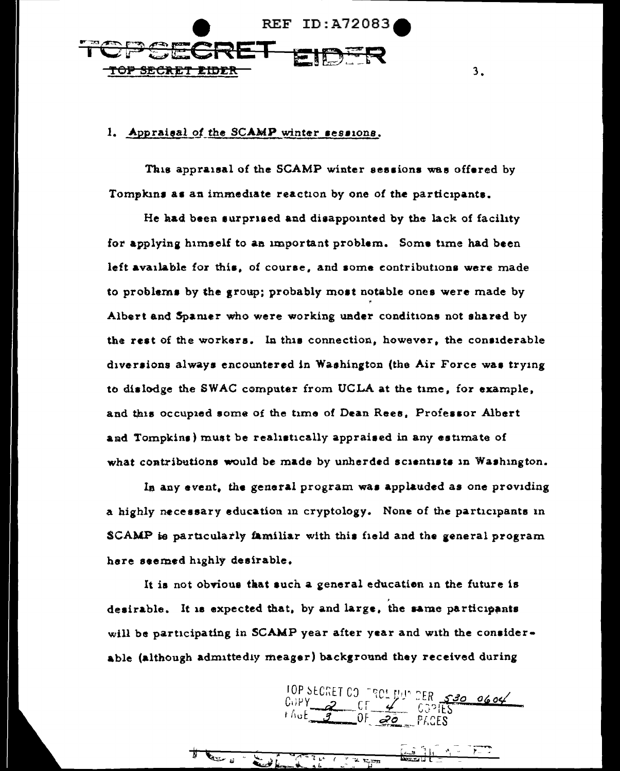

# 1. Appraisal of the SCAMP winter sessions.

This appraisal of the SCAMP winter sessions was offered by Tompkins as an immediate reaction by one of the participants.

 $3<sub>1</sub>$ 

He had been surprised and disappointed by the lack of facility for applying himself to an important problem. Some time had been left available for this, of course, and some contributions were made to problems by the group; probably most notable ones were made by Albert and Spanier who were working under conditions not shared by the rest of the workers. In this connection, however, the considerable diversions always encountered in Washington (the Air Force was trying to dislodge the SWAC computer from UCLA at the time, for example, and this occupied some of the time of Dean Rees, Professor Albert and Tompkins) must be realistically appraised in any estimate of what contributions would be made by unherded scientists in Washington.

In any event, the general program was applauded as one providing a highly necessary education in cryptology. None of the participants in SCAMP is particularly familiar with this field and the general program here seemed highly desirable.

It is not obvious that such a general education in the future is desirable. It is expected that, by and large, the same participants will be participating in SCAMP year after year and with the considerable (although admittedly meager) background they received during

 $T_{\perp}$ 

TOP SECRET CO FROM THE SPO 0604

n es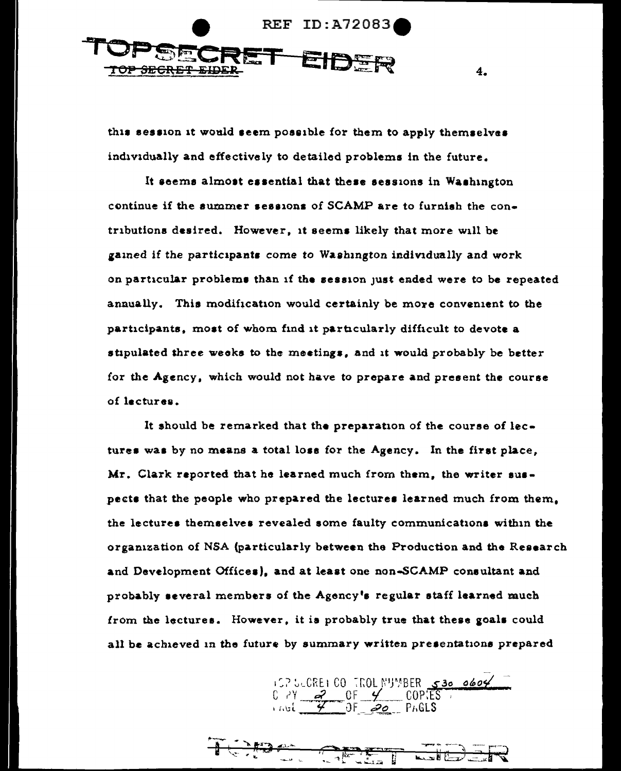

this session it would seem possible for them to apply themselvas individually and effectively to detailed problems in the future.

4.

It seems almost essential that these sessions in Washington continue if the summer sessions of SCAMP are to furnish the contnbutione desired. However, 1t eeema likely that more will be 1ained if the participant• come *to* Waahington individually and work on particular problems than if the session just eaded were to be repeated annually. This modification would certainly be more convenient to the participants, most of whom find it particularly difficult to devote a stipulated three weeks to the meetings, and it would probably be better for the Agency, which would not have to prepare and present the course of lectures.

It should be remarked that the preparation of the course of lectures was by no means a total lose for the Agency. In the first place, Mr. Clark reported that ha learned much from them, the writer suapects that the people who prepared the lectures learned much from them. the lectures themselves revealed some faulty communications within the organization of NSA (particularly between the Production and the Research and Development Offices), and at least one non-SCAMP consultant and probably several members of the Agency's regular staff learned much from the lectures. However, it is probably true that these goals could all be achieved in the future by summary written presentations prepared

157 SCRE1 CO TROL NUMBER 530 0604

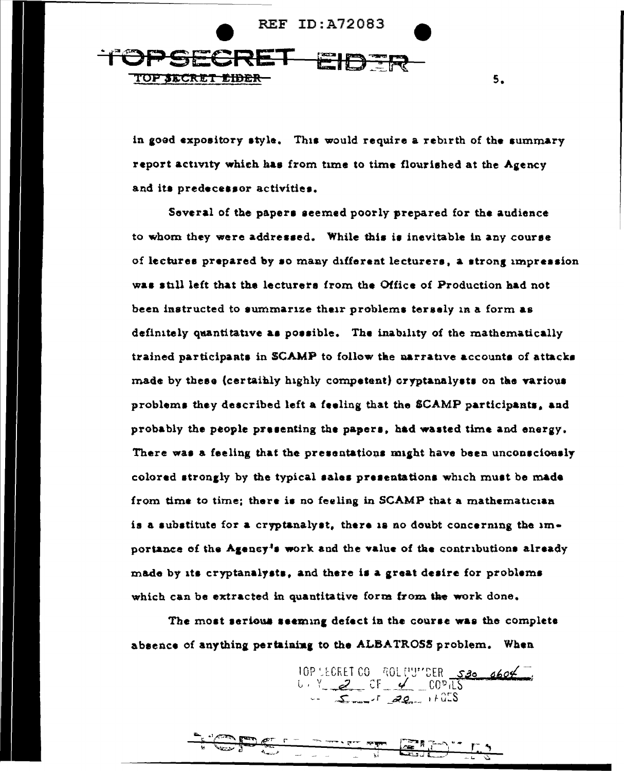

in good expository style. This would require a rebirth of the summary report activity which has from time to time flourished at the Agency and its predecessor activities.

5.

Several of the papers seemed poorly prepared for the audience to whom they were addressed. While this is inevitable in any course of lectures prepared by so many different lecturers, a strong impression was still left that the lecturers from the Office of Production had not been instructed to summarize their problems tersely in a form as definitely quantitative as possible. The inability of the mathematically trained participants in SCAMP to follow the narrative accounts of attacks made by these (certainly highly competent) oryptanalysts on the various problems they described left a feeling that the SCAMP participants, and probably the people presenting the papers, had wasted time and energy. There was a feeling that the presentations might have been unconsciously colored strongly by the typical sales presentations which must be made from time to time; there is no feeling in SCAMP that a mathematician is a substitute for a cryptanalyst, there is no doubt concerning the importance of the Agency's work and the value of the contributions already made by its cryptanalysts, and there is a great desire for problems which can be extracted in quantitative form from the work done.

The most serious seeming defect in the course was the complete absence of anything pertaining to the ALBATROSS problem. When

> 10P LECRET CO ROL MUMBER 530 0604  $5 - 7$  20 + 25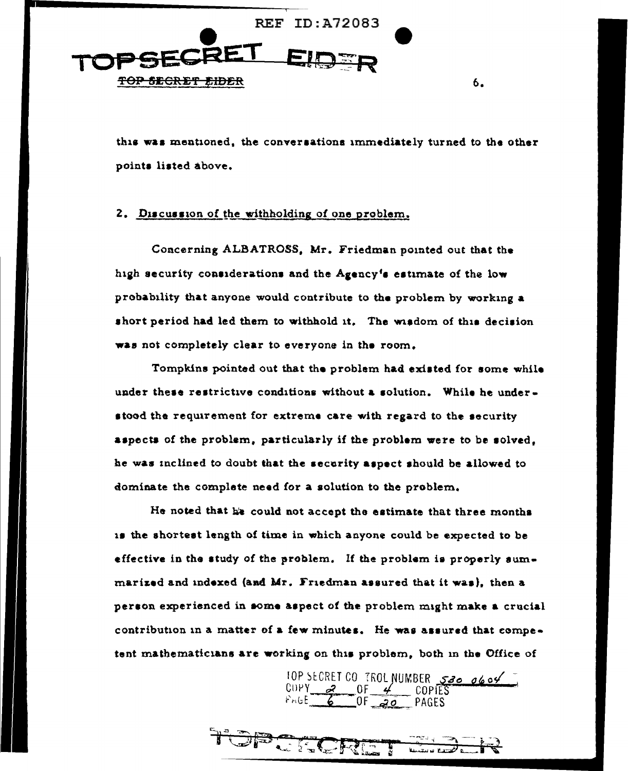

this was mentioned, the conversations immediately turned to the other points listed above.

6.

# 2. Discussion of the withholding of one problem.

Concerning ALBATROSS, Mr. Friedman pointed out that the high security considerations and the Agency's estimate of the low probability that anyone would contribute to the problem by working a short period had led them to withhold it. The wisdom of this decision was not completely clear to everyone in the room.

Tompkins pointed out that the problem had existed for some while under these restrictive conditions without a solution. While he understood the requirement for extreme care with regard to the security aspects of the problem, particularly if the problem were to be solved, he was inclined to doubt that the security aspect should be allowed to dominate the complete need for a solution to the problem.

He noted that he could not accept the estimate that three months is the shortest length of time in which anyone could be expected to be effective in the study of the problem. If the problem is properly summarized and indexed (and Mr. Friedman assured that it was), then a person experienced in some aspect of the problem might make a crucial contribution in a matter of a few minutes. He was assured that competent mathematicians are working on this problem, both in the Office of

10P SECRET CO TROL NUMBER 520 0604

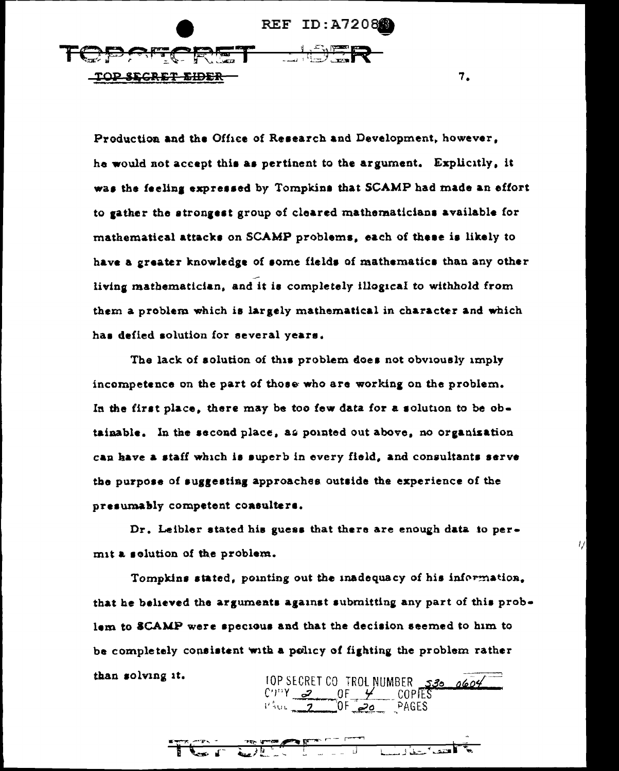REF ID:A7208 DPARCRET LIDER <u>TOP SEGRET EIDER</u>

Production and the Office of Research and Development, however, he would not accept this as pertinent to the argument. Explicitly, it was the feeling expressed by Tompkins that SCAMP had made an effort to gather the strongest group of cleared mathematicians available for mathematical attacks on SCAMP problems, each of these is likely to have a greater knowledge of some fields of mathematics than any other living mathematician, and it is completely illogical to withhold from them a problem which is largely mathematical in character and which has defied solution for several years.

7.

IJ

The lack of solution of this problem does not obviously imply incompetence on the part of those who are working on the problem. In the first place, there may be too few data for a solution to be obtainable. In the second place, as pointed out above, no organization can have a staff which is superb in every field, and consultants serve the purpose of suggesting approaches outside the experience of the presumably competent consulters.

Dr. Leibler stated his guess that there are enough data to permit a solution of the problem.

Tompkins stated, pointing out the inadequacy of his information, that he believed the arguments against submitting any part of this problem to SCAMP were specious and that the decision seemed to him to be completely consistent with a policy of fighting the problem rather than solving it. 10P SECRET CO TROL NUMBER 530 0604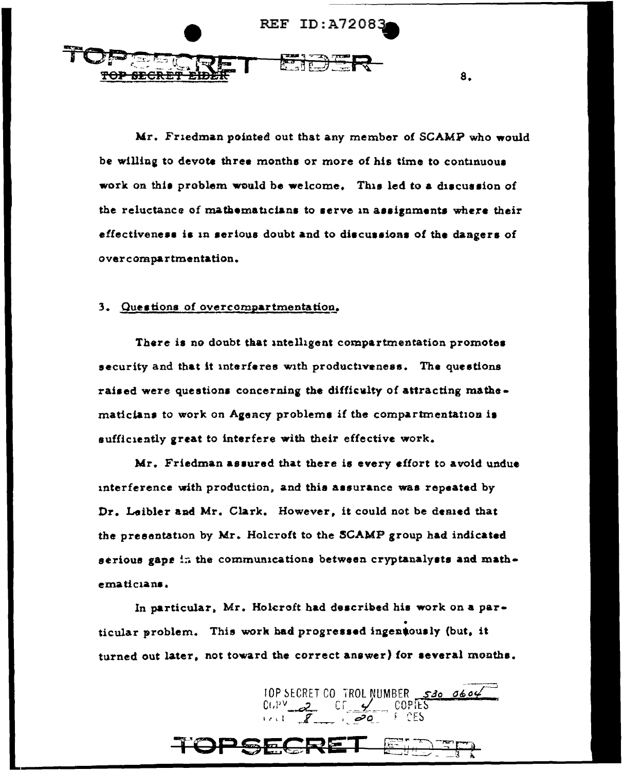

Mr. Friedman pointed out that any member of SCAMP who would be willing to devote three months or more of his time to continuous work on this problem would be welcome. This led to a discussion of the reluctance of mathematicians to serve in assignments where their effectiveness is in serious doubt and to discussions of the dangers of overcompartmentation.

#### 3. Questions of overcompartmentation.

There is no doubt that intelligent compartmentation promotes security and that it interferes with productiveness. The questions raised were questions concerning the difficulty of attracting mathematicians to work on Agency problems if the compartmentation is sufficiently great to interfere with their effective work.

Mr. Friedman assured that there is every effort to avoid undue interference with production, and this assurance was repeated by Dr. Leibler and Mr. Clark. However, it could not be denied that the presentation by Mr. Holcroft to the SCAMP group had indicated serious gaps in the communications between cryptanalysts and mathematicians.

In particular, Mr. Holcroft had described his work on a particular problem. This work had progressed ingeniously (but, it turned out later, not toward the correct answer) for several months.

HCR!

TOP SECRET CO TROL NUMBER 530 0604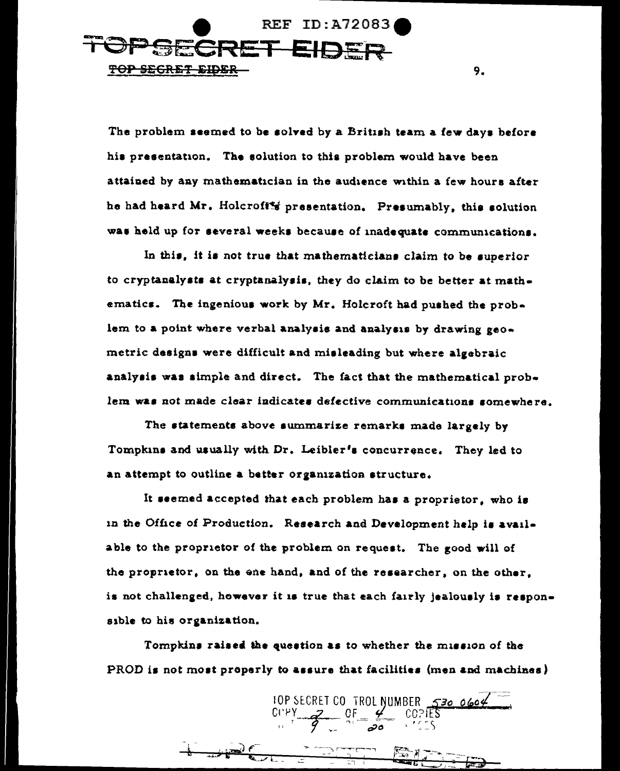**REF ID: A72083 SECRET** TOP SEGRET EIDER

The problem seemed to be solved by a British team a few days before his presentation. The solution to this problem would have been attained by any mathematician in the audience within a few hours after he had heard Mr. Holcroft's presentation. Presumably, this solution was held up for several weeks because of inadequate communications.

9.

In this, it is not true that mathematicians claim to be superior to cryptanalysts at cryptanalysis, they do claim to be better at mathematics. The ingenious work by Mr. Holcroft had pushed the problem to a point where verbal analysis and analysis by drawing geometric designs were difficult and misleading but where algebraic analysis was simple and direct. The fact that the mathematical problem was not made clear indicates defective communications somewhere.

The statements above summarize remarks made largely by Tompkins and usually with Dr. Leibler's concurrence. They led to an attempt to outline a better organization structure.

It seemed accepted that each problem has a proprietor, who is in the Office of Production. Research and Development help is available to the proprietor of the problem on request. The good will of the proprietor, on the ene hand, and of the researcher, on the other, is not challenged, however it is true that each fairly jealously is responsible to his organization.

Tompkins raised the question as to whether the mission of the PROD is not most properly to assure that facilities (men and machines)

10P SECRET CO TROL NUMBER 530 0604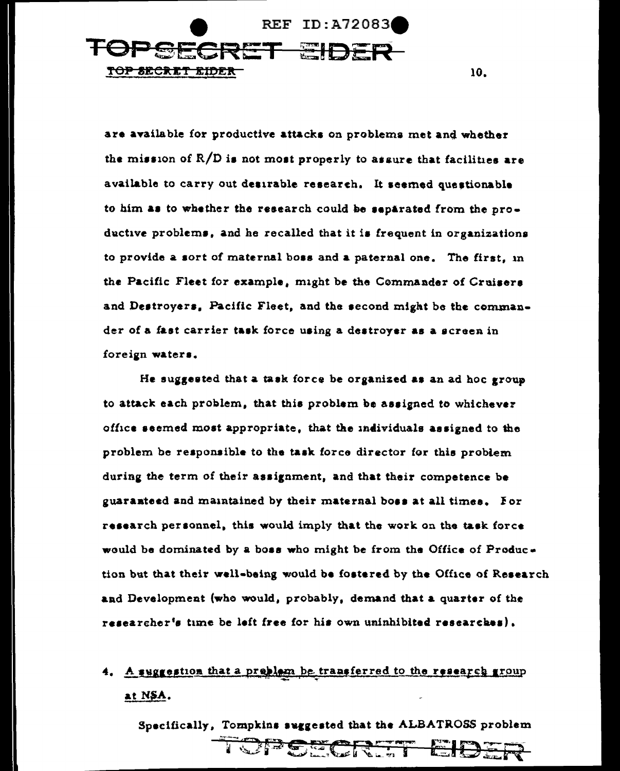

are available for productive attacks on problems met and whether the mission of R/D is not most properly to assure that facilities are available to carry out desirable research. It seemed questionable to him as to whether the research could be separated from the productive problems, and he recalled that it is frequent in organizations to provide a sort of maternal boss and a paternal one. The first, in the Pacific Fleet for example, might be the Commander of Cruisers and Destroyers. Pacific Fleet, and the second might be the commander of a fast carrier task force using a destroyer as a screen in foreign waters.

He suggested that a task force be organized as an ad hoc group to attack each problem, that this problem be assigned to whichever office seemed most appropriate, that the individuals assigned to the problem be responsible to the task force director for this problem during the term of their assignment, and that their competence be guaranteed and maintained by their maternal boss at all times. For research personnel, this would imply that the work on the task force would be dominated by a boss who might be from the Office of Production but that their well-being would be fostered by the Office of Research and Development (who would, probably, demand that a quarter of the researcher's time be left free for his own uninhibited researches).

# 4. A suggestion that a presiem be transferred to the research group at NSA.

Specifically, Tompkins suggested that the ALBATROSS problem

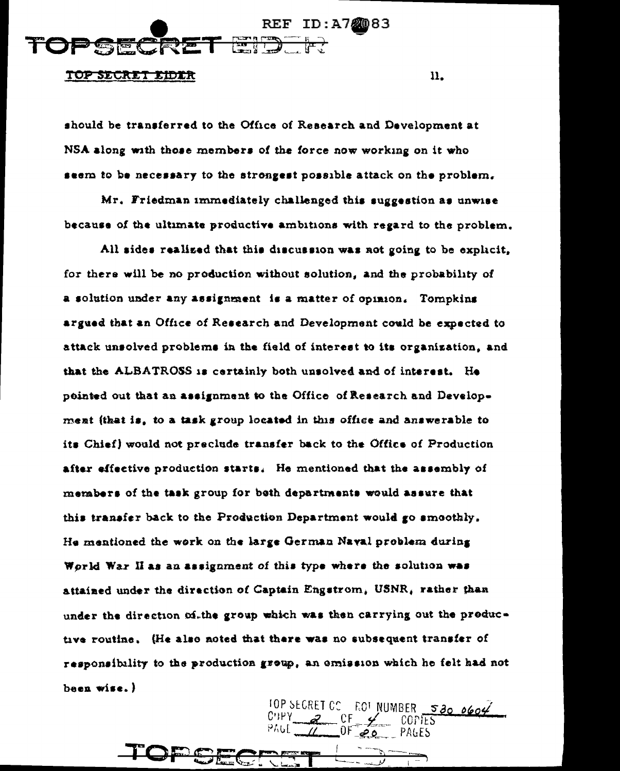

#### TOP SECRET EIDER

should be transferred to the Office of Research and Development at NSA along with those members of the force now working on it who seem to be necessary to the strongest possible attack on the problem.

11.

 $5300604$ 

Mr. Friedman immediately challenged this suggestion as unwise because of the ultimate productive ambitions with regard to the problem.

All sides realized that this discussion was not going to be explicit. for there will be no production without solution, and the probability of a solution under any assignment is a matter of opinion. Tompkins argued that an Office of Research and Development could be expected to attack unsolved problems in the field of interest to its organization, and that the ALBATROSS is certainly both unsolved and of interest. He pointed out that an assignment to the Office of Research and Development (that is, to a task group located in this office and answerable to its Chief) would not preclude transfer back to the Office of Production after effective production starts. He mentioned that the assembly of members of the task group for beth departments would assure that this transfer back to the Production Department would go smoothly. He mentioned the work on the large German Naval problem during World War II as an assignment of this type where the solution was attained under the direction of Captain Engstrom, USNR, rather than under the direction of the group which was then carrying out the productive routine. (He also noted that there was no subsequent transfer of responsibility to the production group, an emission which he felt had not been wise.)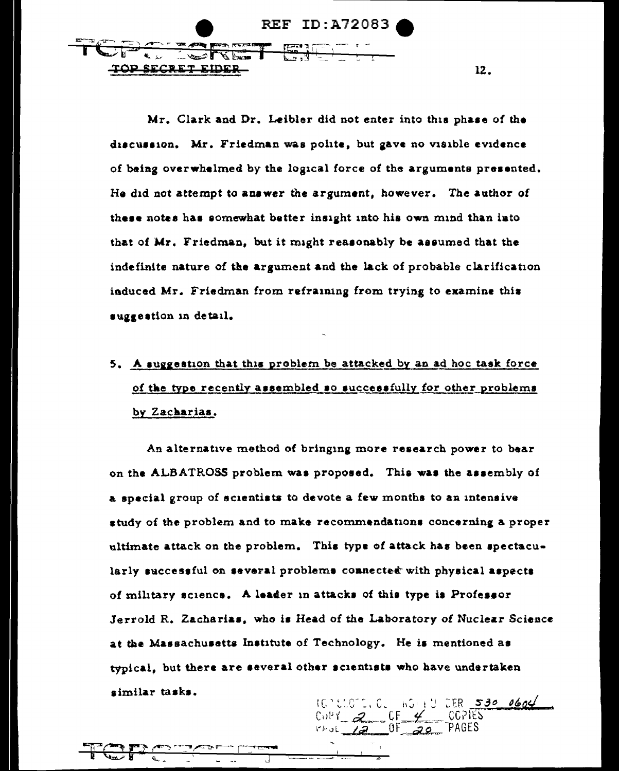**REF ID: A72083** TOP SECRET EIDER

Mr. Clark and Dr. Leibler did not enter into this phase of the discussion. Mr. Friedman was polite, but gave no visible evidence of being overwhelmed by the logical force of the arguments presented. He did not attempt to answer the argument, however. The author of these notes has somewhat better insight into his own mind than into that of Mr. Friedman, but it might reasonably be assumed that the indefinite nature of the argument and the lack of probable clarification induced Mr. Friedman from refraining from trying to examine this suggestion in detail.

12.

# 5. A suggestion that this problem be attacked by an ad hoc task force of the type recently assembled so successfully for other problems by Zacharias.

An alternative method of bringing more research power to bear on the ALBATROSS problem was proposed. This was the assembly of a special group of scientists to devote a few months to an intensive study of the problem and to make recommendations concerning a proper ultimate attack on the problem. This type of attack has been spectacularly successful on several problems connected with physical aspects of military science. A leader in attacks of this type is Professor Jerrold R. Zacharias, who is Head of the Laboratory of Nuclear Science at the Massachusetts Institute of Technology. He is mentioned as typical, but there are several other scientists who have undertaken similar tasks.

 $CER$  530 0604  $C_0PY = 2C_0F$  $20$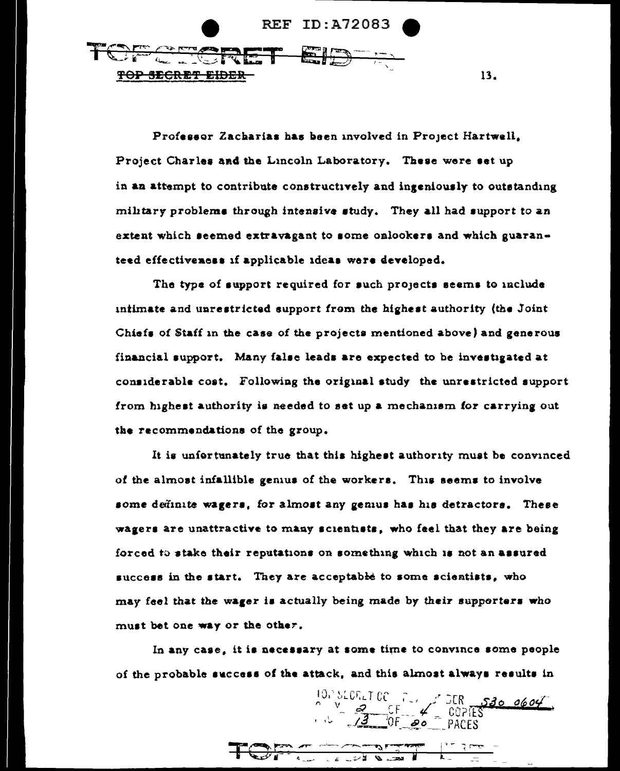

Professor Zacharias has been involved in Project Hartwell. Project Charles and the Lincoln Laboratory. These were set up in an attempt to contribute constructively and ingeniously to outstanding military problems through intensive study. They all had support to an extent which seemed extravagant to some onlookers and which guaranteed effectiveness if applicable ideas were developed.

13.

The type of support required for such projects seems to include intimate and unrestricted support from the highest authority (the Joint Chiefs of Staff in the case of the projects mentioned above) and generous financial support. Many false leads are expected to be investigated at considerable cost. Following the original study the unrestricted support from highest authority is needed to set up a mechanism for carrying out the recommendations of the group.

It is unfortunately true that this highest authority must be convinced of the almost infallible genius of the workers. This seems to involve some definite wagers, for almost any genius has his detractors. These wagers are unattractive to many scientists, who feel that they are being forced to stake their reputations on something which is not an assured success in the start. They are acceptable to some scientists, who may feel that the wager is actually being made by their supporters who must bet one way or the other.

In any case, it is necessary at some time to convince some people of the probable success of the attack, and this almost always results in

and complete the second property of the second property of the second property and the second property and the

10, SLORET OC PULLER 530 0604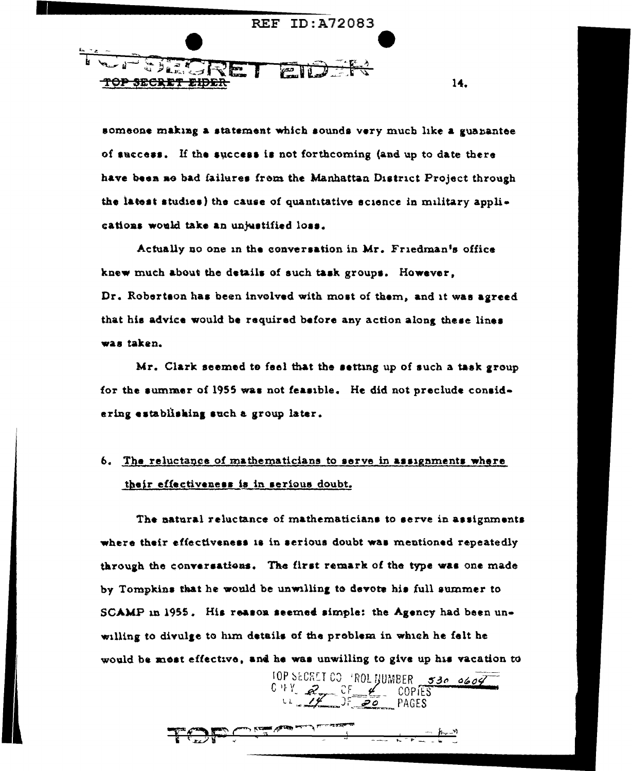

someone making a statement which sounds very much like a guanantee of success. If the success is not forthcoming (and up to date there have been no bad failures from the Manhattan District Project through the latest studies) the cause of quantitative science in military applications would take an unjustified loss.

14.

Actually no one in the conversation in Mr. Friedman's office knew much about the details of such task groups. However, Dr. Robertson has been involved with most of them, and it was agreed that his advice would be required before any action along these lines was taken.

Mr. Clark seemed to feel that the setting up of such a task group for the summer of 1955 was not feasible. He did not preclude considering establishing such a group later.

# 6. The reluctance of mathematicians to serve in assignments where their effectiveness is in serious doubt.

The natural reluctance of mathematicians to serve in assignments where their effectiveness is in serious doubt was mentioned repeatedly through the conversations. The first remark of the type was one made by Tompkins that he would be unwilling to devote his full summer to SCAMP in 1955. His reason seemed simple: the Agency had been unwilling to divulge to him details of the problem in which he felt he would be most effective, and he was unwilling to give up his vacation to

IOP SECRET CO ROL JUMBER 530 0609  $C+Y$   $2$   $C = 20$   $C$   $D = 20$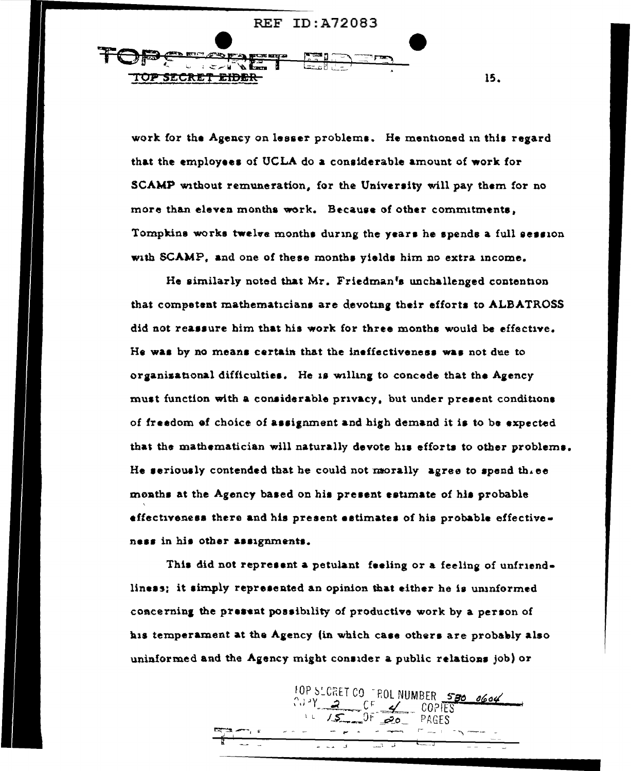**REF ID: A72083** 

**COPARTIE** TOP SECRET EIDER

work for the Agency on lesser problems. He mentioned in this regard that the employees of UCLA do a considerable amount of work for SCAMP without remuneration, for the University will pay them for no more than eleven months work. Because of other commitments. Tompkins works twelve months during the years he spends a full session with SCAMP, and one of these months yields him no extra income.

15.

He similarly noted that Mr. Friedman's unchallenged contention that competent mathematicians are devoting their efforts to ALBATROSS did not reassure him that his work for three months would be effective. He was by no means certain that the ineffectiveness was not due to organizational difficulties. He is willing to concede that the Agency must function with a considerable privacy, but under present conditions of freedom of choice of assignment and high demand it is to be expected that the mathematician will naturally devote his efforts to other problems. He seriously contended that he could not morally agree to spend the  $ee$ months at the Agency based on his present estimate of his probable effectiveness there and his present estimates of his probable effectiveness in his other assignments.

This did not represent a petulant feeling or a feeling of unfriendliness; it simply represented an opinion that either he is uninformed coacerning the present possibility of productive work by a person of his temperament at the Agency (in which case others are probably also uninformed and the Agency might consider a public relations job) or

10P SLCRET CO FROL NUMBER 580 0604

PAGES

 $0F$  20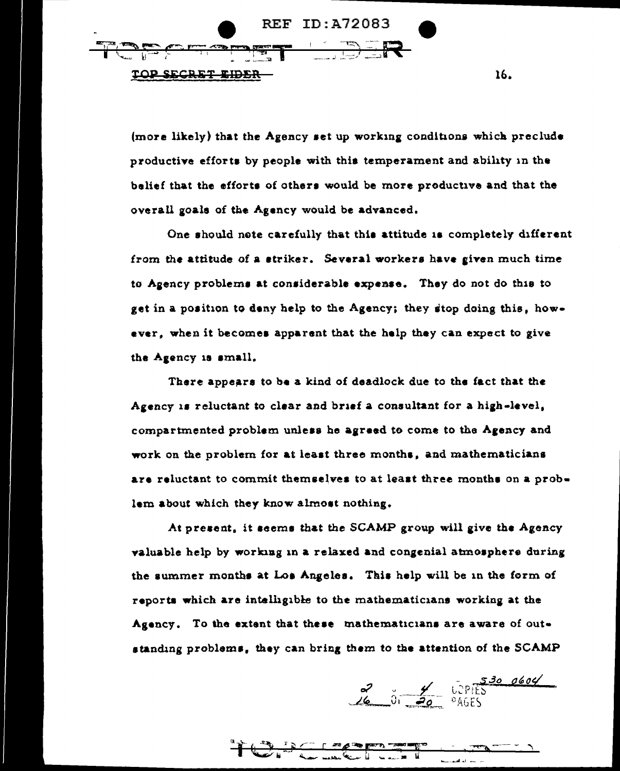

(more likely) that the Agency set up working conditions which preclude productive efforts by people with this temperament and ability in the belief that the efforts of others would be more productive and that the overall goals of the Agency would be advanced.

One should note carefully that this attitude is completely different from the attitude of a striker. Several workers have given much time to Agency problems at considerable expense. They do not do this to get in a position to deny help to the Agency; they stop doing this, however, when it becomes apparent that the help they can expect to give the Agency is small.

There appears to be a kind of deadlock due to the fact that the Agency is reluctant to clear and brief a consultant for a high-level, compartmented problem unless he agreed to come to the Agency and work on the problem for at least three months, and mathematicians are reluctant to commit themselves to at least three months on a problem about which they know almost nothing.

At present, it seems that the SCAMP group will give the Agency valuable help by working in a relaxed and congenial atmosphere during the summer months at Los Angeles. This help will be in the form of reports which are intelligible to the mathematicians working at the Agency. To the extent that these mathematicians are aware of outstanding problems, they can bring them to the attention of the SCAMP

 $\frac{3}{\sqrt{6}}$  0.  $\frac{4}{\sqrt{20}}$  0. 0 PIES

16.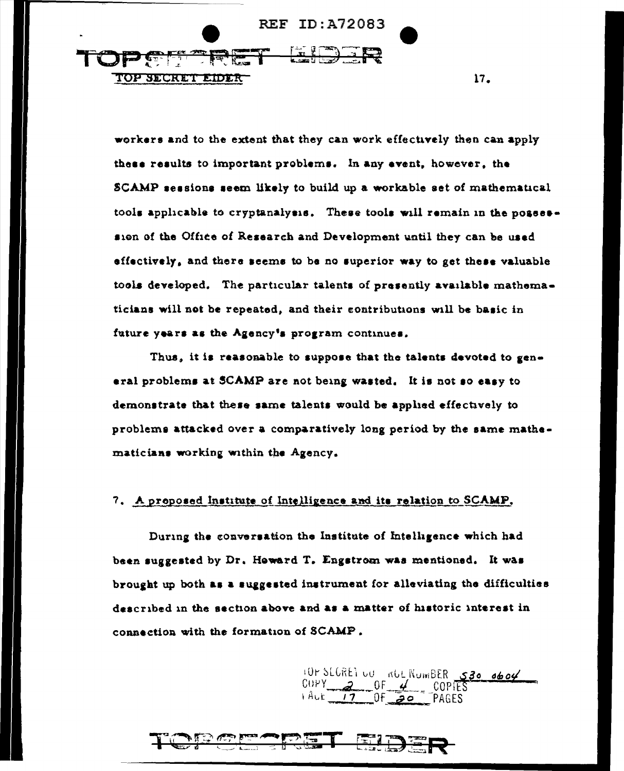

workers and to the extent that they can work effectively then can apply these results to important problems. In any event, however, the SCAMP sessions seem likely to build up a workable set of mathematical tools applicable to cryptanalysis. These tools will remain in the possession of the Office of Research and Development until they can be used effectively, and there seems to be no superior way to get these valuable tools developed. The particular talents of presently available mathematicians will not be repeated, and their contributions will be basic in future years as the Agency's program continues.

 $17.$ 

Thus, it is reasonable to suppose that the talents devoted to general problems at SCAMP are not being wasted. It is not so easy to demonstrate that these same talents would be applied effectively to problems attacked over a comparatively long period by the same mathematicians working within the Agency.

# 7. A proposed institute of Intelligence and its relation to SCAMP.

During the conversation the Institute of Intelligence which had been suggested by Dr. Howard T. Engstrom was mentioned. It was brought up both as a suggested instrument for alleviating the difficulties described in the section above and as a matter of historic interest in connection with the formation of SCAMP.

10r SLGREI UU NUL NUMBER 530 0604  $HLE$   $17$  OF 20 **PAGES** 

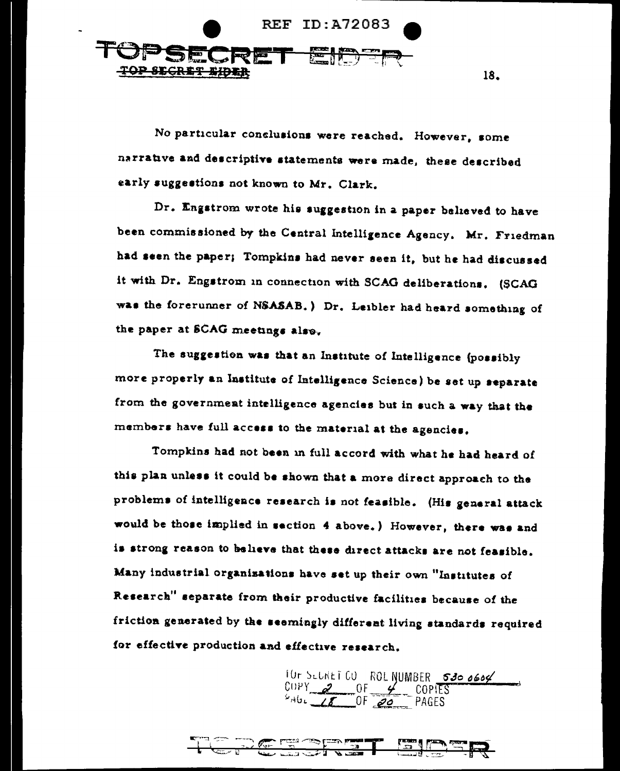

No particular conclusions were reached. However, some narrative and descriptive statements were made, these described early suggestions not known to Mr. Clark.

Dr. Engstrom wrote his suggestion in a paper believed to have been commissioned by the Central Intelligence Agency, Mr. Friedman had seen the paper; Tompkins had never seen it, but he had discussed it with Dr. Engstrom in connection with SCAG deliberations. (SCAG was the forerunner of NSASAB.) Dr. Leibler had heard something of the paper at SCAG meetings also.

The suggestion was that an Institute of Intelligence (possibly more properly an Institute of Intelligence Science) be set up separate from the government intelligence agencies but in such a way that the members have full access to the material at the agencies.

Tompkins had not been in full accord with what he had heard of this plan unless it could be shown that a more direct approach to the problems of intelligence research is not feasible. (His general attack would be those implied in section 4 above.) However, there was and is strong reason to believe that these direct attacks are not feasible. Many industrial organisations have set up their own "Institutes of Research" separate from their productive facilities because of the friction generated by the seemingly different living standards required for effective production and effective research.

10r SLUNET CU ROL NUMBER 530 0604

|  | Æ | $\mathbf{r}$ , $\mathbf{r}$ | $\sim$ | an i<br>----<br>$-1$ | المجازي | æ. | -9 F)   | $\sim$ $\frac{1}{2}$ $\frac{1}{2}$ $\frac{1}{2}$ $\frac{1}{2}$ $\frac{1}{2}$ $\frac{1}{2}$ $\frac{1}{2}$ $\frac{1}{2}$ $\frac{1}{2}$ $\frac{1}{2}$ $\frac{1}{2}$ $\frac{1}{2}$ $\frac{1}{2}$ $\frac{1}{2}$ $\frac{1}{2}$ $\frac{1}{2}$ $\frac{1}{2}$ $\frac{1}{2}$ $\frac{1}{2}$ $\frac{1}{2}$ $\frac{1}{2}$ $\frac{1}{$ |
|--|---|-----------------------------|--------|----------------------|---------|----|---------|--------------------------------------------------------------------------------------------------------------------------------------------------------------------------------------------------------------------------------------------------------------------------------------------------------------------------|
|  |   | スインファ ウィア なげ                |        | 77773                |         |    | $- - -$ | м                                                                                                                                                                                                                                                                                                                        |

18.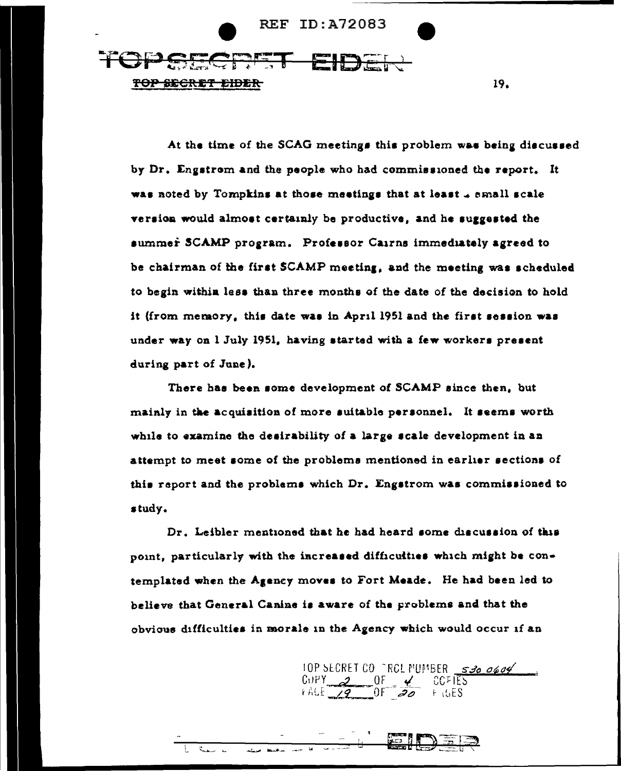

At the time of the SCAG meetings this problem was being discussed by Dr. Engstrom and the people who had commissioned the report. It was noted by Tompkins at those meetings that at least 4 small scale version would almost certainly be productive, and he suggested the summer SCAMP program. Professor Cairns immediately agreed to be chairman of the first SCAMP meeting, and the meeting was scheduled to begin within less than three months of the date of the decision to hold it (from memory, this date was in April 1951 and the first session was under way on I July 1951, having started with a few workers present during part of June).

There has been some development of SCAMP since then, but mainly in the acquisition of more suitable personnel. It seems worth while to examine the desirability of a large scale development in an attempt to meet some of the problems mentioned in earlier sections of this report and the problems which Dr. Engstrom was commissioned to study.

Dr. Leibler mentioned that he had heard some discussion of this point, particularly with the increased difficulties which might be contemplated when the Agency moves to Fort Meade. He had been led to believe that General Canine is aware of the problems and that the obvious difficulties in morale in the Agency which would occur if an

10P SECRET CO FROL MUMBER 530 0604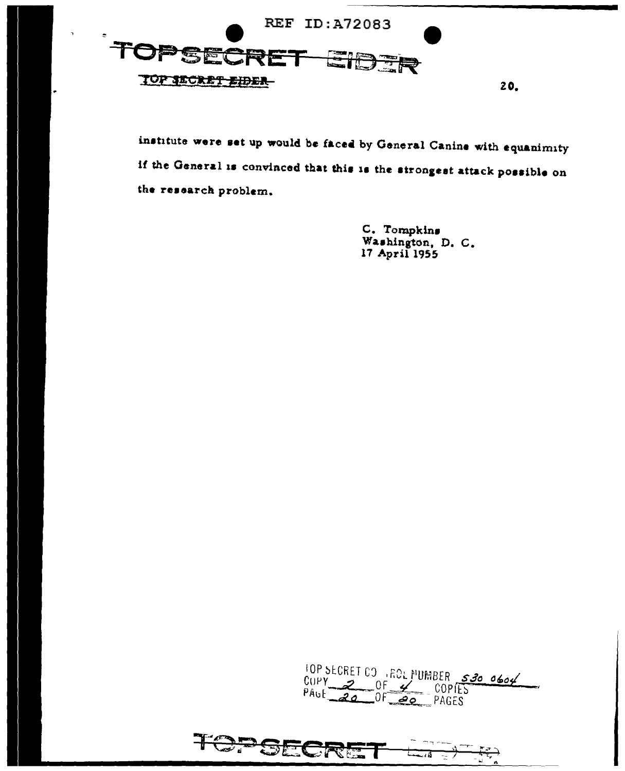

institute were set up would be faced by General Canine with equanimity if the General is convinced that this is the strongest attack possible on the research problem.

> C. Tompkins Washington, D. C. 17 April 1955